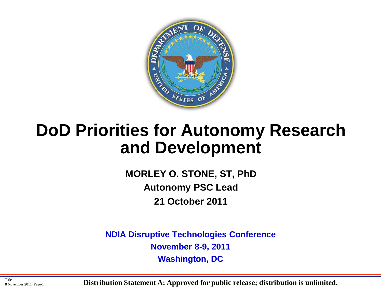

### **DoD Priorities for Autonomy Research and Development**

**MORLEY O. STONE, ST, PhD Autonomy PSC Lead 21 October 2011**

**NDIA Disruptive Technologies Conference November 8-9, 2011 Washington, DC**

Title

<sup>Title</sup><br>8 November 2011 Page-1 **Distribution Statement A: Approved for public release; distribution is unlimited.**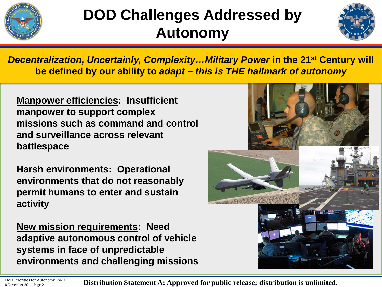

# **DOD Challenges Addressed by Autonomy**



*Decentralization, Uncertainly, Complexity... Military Power* **in the 21<sup>st</sup> Century will be defined by our ability to** *adapt – this is THE hallmark of autonomy*

**Manpower efficiencies: Insufficient manpower to support complex missions such as command and control and surveillance across relevant battlespace**

**Harsh environments: Operational environments that do not reasonably permit humans to enter and sustain activity** 

**New mission requirements: Need adaptive autonomous control of vehicle systems in face of unpredictable environments and challenging missions**



 $\frac{1}{8}$  November 2011 Page-2 **Distribution Statement A: Approved for public release; distribution is unlimited.**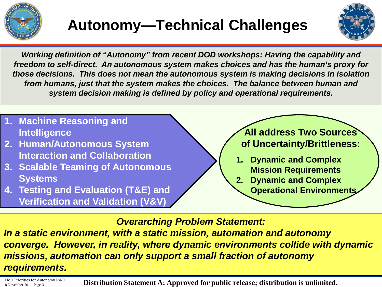



*Working definition of "Autonomy" from recent DOD workshops: Having the capability and freedom to self-direct. An autonomous system makes choices and has the human's proxy for those decisions. This does not mean the autonomous system is making decisions in isolation from humans, just that the system makes the choices. The balance between human and system decision making is defined by policy and operational requirements.*

- **1. Machine Reasoning and Intelligence**
- **2. Human/Autonomous System Interaction and Collaboration**
- **3. Scalable Teaming of Autonomous Systems**
- **4. Testing and Evaluation (T&E) and Verification and Validation (V&V)**

**All address Two Sources of Uncertainty/Brittleness:**

- **1. Dynamic and Complex Mission Requirements**
- **2. Dynamic and Complex** 
	- **Operational Environments**

*Overarching Problem Statement:*

*In a static environment, with a static mission, automation and autonomy converge. However, in reality, where dynamic environments collide with dynamic missions, automation can only support a small fraction of autonomy requirements.*

DoD Priorities for Autonomy R&D

 $\frac{100D}{8 \text{ November 2011 Pase-3}}$   $\frac{1}{200D}$  Priorities for Autonomy R&D **Distribution Statement A: Approved for public release; distribution is unlimited.**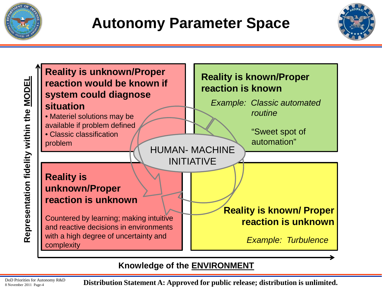







**Knowledge of the ENVIRONMENT**

DoD Priorities for Autonomy R&D

 $\frac{100D}{8 \text{ November 2011 Page-4}}$  **Distribution Statement A: Approved for public release; distribution is unlimited.**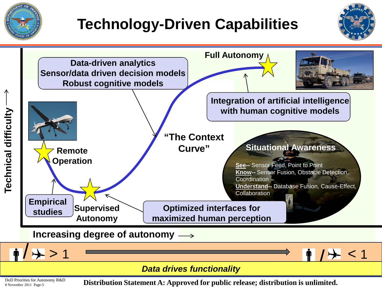

# **Technology-Driven Capabilities**





DoD Priorities for Autonomy R&D

 $\frac{100D}{8 \text{ November 2011 Page-5}}$  or Autonomy R&D **Distribution Statement A: Approved for public release; distribution is unlimited.**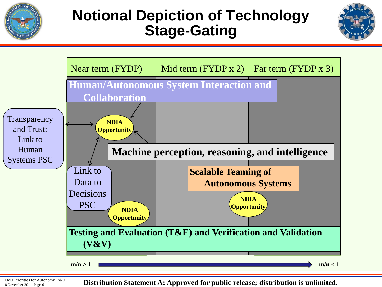

#### **Notional Depiction of Technology Stage-Gating**





DoD Priorities for Autonomy R&D

 $\frac{100D}{8 \text{ November 2011 Page-6}}$  **Distribution Statement A: Approved for public release; distribution is unlimited.**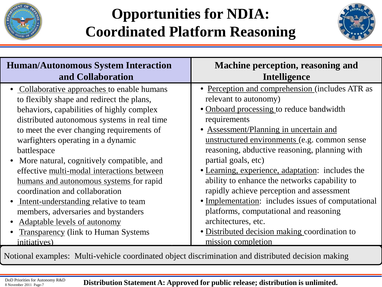

### **Opportunities for NDIA: Coordinated Platform Reasoning**



| <b>Human/Autonomous System Interaction</b><br>and Collaboration | Machine perception, reasoning and<br>Intelligence  |  |
|-----------------------------------------------------------------|----------------------------------------------------|--|
| Collaborative approaches to enable humans                       | • Perception and comprehension (includes ATR as    |  |
| to flexibly shape and redirect the plans,                       | relevant to autonomy)                              |  |
| behaviors, capabilities of highly complex                       | • Onboard processing to reduce bandwidth           |  |
| distributed autonomous systems in real time                     | requirements                                       |  |
| to meet the ever changing requirements of                       | • Assessment/Planning in uncertain and             |  |
| warfighters operating in a dynamic                              | unstructured environments (e.g. common sense       |  |
| battlespace                                                     | reasoning, abductive reasoning, planning with      |  |
| More natural, cognitively compatible, and                       | partial goals, etc)                                |  |
| effective multi-modal interactions between                      | • Learning, experience, adaptation: includes the   |  |
| humans and autonomous systems for rapid                         | ability to enhance the networks capability to      |  |
| coordination and collaboration                                  | rapidly achieve perception and assessment          |  |
| Intent-understanding relative to team                           | • Implementation: includes issues of computational |  |
| members, adversaries and bystanders                             | platforms, computational and reasoning             |  |
| Adaptable levels of autonomy                                    | architectures, etc.                                |  |
| <b>Transparency (link to Human Systems)</b>                     | • Distributed decision making coordination to      |  |
| initiatives)                                                    | mission completion                                 |  |

Notional examples: Multi-vehicle coordinated object discrimination and distributed decision making

DoD Priorities for Autonomy R&D

DoD Priorities for Autonomy R&D<br>8 November 2011 Page-7 **Distribution Statement A: Approved for public release; distribution is unlimited.**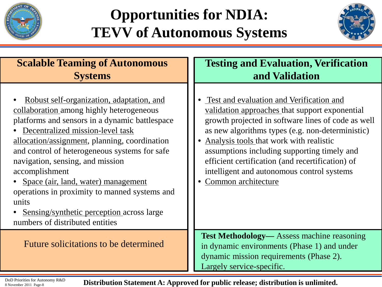

## **Opportunities for NDIA: TEVV of Autonomous Systems**



| <b>Scalable Teaming of Autonomous</b>                                                                                                                                                                                                                                                                                                                                                                                                                                                                                  | <b>Testing and Evaluation, Verification</b>                                                                                                                                                                                                                                                                                                                                                                               |  |  |
|------------------------------------------------------------------------------------------------------------------------------------------------------------------------------------------------------------------------------------------------------------------------------------------------------------------------------------------------------------------------------------------------------------------------------------------------------------------------------------------------------------------------|---------------------------------------------------------------------------------------------------------------------------------------------------------------------------------------------------------------------------------------------------------------------------------------------------------------------------------------------------------------------------------------------------------------------------|--|--|
| <b>Systems</b>                                                                                                                                                                                                                                                                                                                                                                                                                                                                                                         | and Validation                                                                                                                                                                                                                                                                                                                                                                                                            |  |  |
| Robust self-organization, adaptation, and<br>collaboration among highly heterogeneous<br>platforms and sensors in a dynamic battlespace<br>Decentralized mission-level task<br>allocation/assignment, planning, coordination<br>and control of heterogeneous systems for safe<br>navigation, sensing, and mission<br>accomplishment<br>• Space (air, land, water) management<br>operations in proximity to manned systems and<br>units<br>Sensing/synthetic perception across large<br>numbers of distributed entities | Test and evaluation and Verification and<br>validation approaches that support exponential<br>growth projected in software lines of code as well<br>as new algorithms types (e.g. non-deterministic)<br>• Analysis tools that work with realistic<br>assumptions including supporting timely and<br>efficient certification (and recertification) of<br>intelligent and autonomous control systems<br>Common architecture |  |  |
| Future solicitations to be determined                                                                                                                                                                                                                                                                                                                                                                                                                                                                                  | <b>Test Methodology</b> — Assess machine reasoning<br>in dynamic environments (Phase 1) and under                                                                                                                                                                                                                                                                                                                         |  |  |
|                                                                                                                                                                                                                                                                                                                                                                                                                                                                                                                        | dynamic mission requirements (Phase 2).<br>Largely service-specific.                                                                                                                                                                                                                                                                                                                                                      |  |  |

DoD Priorities for Autonomy R&D<br>8 November 2011 Page-8 **Distribution Statement A: Approved for public release; distribution is unlimited.**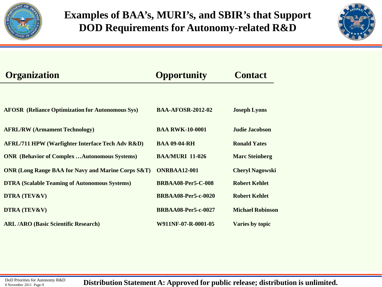



| <b>Organization</b>                                           | <b>Opportunity</b>         | <b>Contact</b>          |
|---------------------------------------------------------------|----------------------------|-------------------------|
|                                                               |                            |                         |
| <b>AFOSR</b> (Reliance Optimization for Autonomous Sys)       | <b>BAA-AFOSR-2012-02</b>   | <b>Joseph Lyons</b>     |
| <b>AFRL/RW (Armament Technology)</b>                          | <b>BAA RWK-10-0001</b>     | <b>Judie Jacobson</b>   |
| <b>AFRL/711 HPW (Warfighter Interface Tech Adv R&amp;D)</b>   | <b>BAA 09-04-RH</b>        | <b>Ronald Yates</b>     |
| <b>ONR</b> (Behavior of Complex Autonomous Systems)           | <b>BAA/MURI 11-026</b>     | <b>Marc Steinberg</b>   |
| <b>ONR (Long Range BAA for Navy and Marine Corps S&amp;T)</b> | <b>ONRBAA12-001</b>        | <b>Cheryl Nagowski</b>  |
| <b>DTRA (Scalable Teaming of Autonomous Systems)</b>          | <b>BRBAA08-Per5-C-008</b>  | <b>Robert Kehlet</b>    |
| DTRA (TEV&V)                                                  | <b>BRBAA08-Per5-c-0020</b> | <b>Robert Kehlet</b>    |
| DTRA (TEV&V)                                                  | <b>BRBAA08-Per5-c-0027</b> | <b>Michael Robinson</b> |
| <b>ARL /ARO (Basic Scientific Research)</b>                   | W911NF-07-R-0001-05        | Varies by topic         |

DoD Priorities for Autonomy R&D

DoD Priorities for Autonomy R&D<br>8 November 2011 Page-9 **Distribution Statement A: Approved for public release; distribution is unlimited.**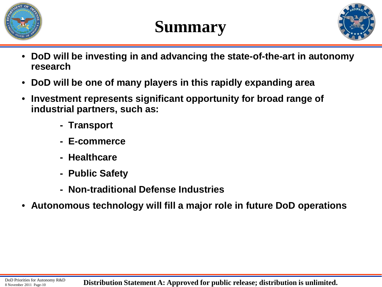

# **Summary**



- **DoD will be investing in and advancing the state-of-the-art in autonomy research**
- **DoD will be one of many players in this rapidly expanding area**
- **Investment represents significant opportunity for broad range of industrial partners, such as:**
	- **Transport**
	- **E-commerce**
	- **Healthcare**
	- **Public Safety**
	- **Non-traditional Defense Industries**
- **Autonomous technology will fill a major role in future DoD operations**